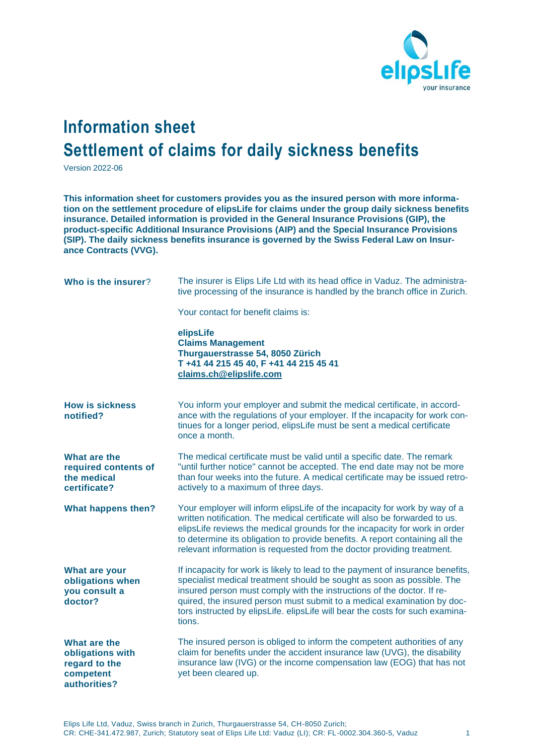

## **Information sheet Settlement of claims for daily sickness benefits**

Version 2022-06

**This information sheet for customers provides you as the insured person with more information on the settlement procedure of elipsLife for claims under the group daily sickness benefits insurance. Detailed information is provided in the General Insurance Provisions (GIP), the product-specific Additional Insurance Provisions (AIP) and the Special Insurance Provisions (SIP). The daily sickness benefits insurance is governed by the Swiss Federal Law on Insurance Contracts (VVG).**

| Who is the insurer?                                                            | The insurer is Elips Life Ltd with its head office in Vaduz. The administra-<br>tive processing of the insurance is handled by the branch office in Zurich.                                                                                                                                                                                                                                              |
|--------------------------------------------------------------------------------|----------------------------------------------------------------------------------------------------------------------------------------------------------------------------------------------------------------------------------------------------------------------------------------------------------------------------------------------------------------------------------------------------------|
|                                                                                | Your contact for benefit claims is:                                                                                                                                                                                                                                                                                                                                                                      |
|                                                                                | elipsLife<br><b>Claims Management</b><br>Thurgauerstrasse 54, 8050 Zürich<br>T +41 44 215 45 40, F +41 44 215 45 41<br>claims.ch@elipslife.com                                                                                                                                                                                                                                                           |
| <b>How is sickness</b><br>notified?                                            | You inform your employer and submit the medical certificate, in accord-<br>ance with the regulations of your employer. If the incapacity for work con-<br>tinues for a longer period, elipsLife must be sent a medical certificate<br>once a month.                                                                                                                                                      |
| What are the<br>required contents of<br>the medical<br>certificate?            | The medical certificate must be valid until a specific date. The remark<br>"until further notice" cannot be accepted. The end date may not be more<br>than four weeks into the future. A medical certificate may be issued retro-<br>actively to a maximum of three days.                                                                                                                                |
| What happens then?                                                             | Your employer will inform elipsLife of the incapacity for work by way of a<br>written notification. The medical certificate will also be forwarded to us.<br>elipsLife reviews the medical grounds for the incapacity for work in order<br>to determine its obligation to provide benefits. A report containing all the<br>relevant information is requested from the doctor providing treatment.        |
| What are your<br>obligations when<br>you consult a<br>doctor?                  | If incapacity for work is likely to lead to the payment of insurance benefits,<br>specialist medical treatment should be sought as soon as possible. The<br>insured person must comply with the instructions of the doctor. If re-<br>quired, the insured person must submit to a medical examination by doc-<br>tors instructed by elipsLife. elipsLife will bear the costs for such examina-<br>tions. |
| What are the<br>obligations with<br>regard to the<br>competent<br>authorities? | The insured person is obliged to inform the competent authorities of any<br>claim for benefits under the accident insurance law (UVG), the disability<br>insurance law (IVG) or the income compensation law (EOG) that has not<br>yet been cleared up.                                                                                                                                                   |